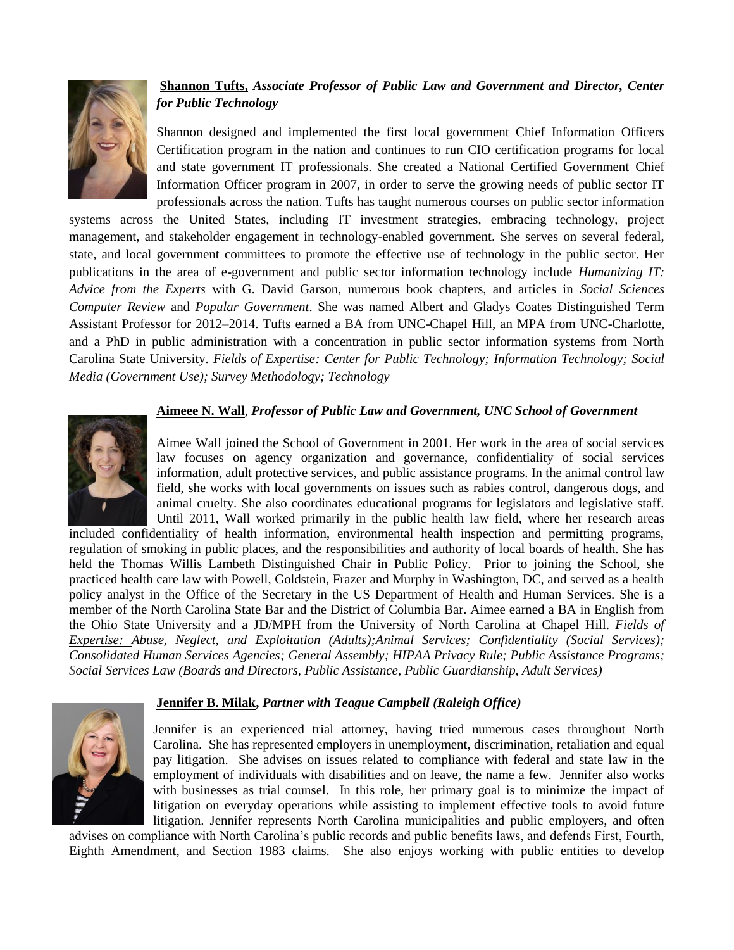

# **Shannon Tufts,** *Associate Professor of Public Law and Government and Director, Center for Public Technology*

Shannon designed and implemented the first local government Chief Information Officers Certification program in the nation and continues to run CIO certification programs for local and state government IT professionals. She created a National Certified Government Chief Information Officer program in 2007, in order to serve the growing needs of public sector IT professionals across the nation. Tufts has taught numerous courses on public sector information

systems across the United States, including IT investment strategies, embracing technology, project management, and stakeholder engagement in technology-enabled government. She serves on several federal, state, and local government committees to promote the effective use of technology in the public sector. Her publications in the area of e-government and public sector information technology include *Humanizing IT: Advice from the Experts* with G. David Garson, numerous book chapters, and articles in *Social Sciences Computer Review* and *Popular Government*. She was named Albert and Gladys Coates Distinguished Term Assistant Professor for 2012–2014. Tufts earned a BA from UNC-Chapel Hill, an MPA from UNC-Charlotte, and a PhD in public administration with a concentration in public sector information systems from North Carolina State University. *Fields of Expertise: Center for Public Technology; Information Technology; Social Media (Government Use); Survey Methodology; Technology*

## **Aimeee N. Wall**, *Professor of Public Law and Government, UNC School of Government*



Aimee Wall joined the School of Government in 2001. Her work in the area of social services law focuses on agency organization and governance, confidentiality of social services information, adult protective services, and public assistance programs. In the animal control law field, she works with local governments on issues such as rabies control, dangerous dogs, and animal cruelty. She also coordinates educational programs for legislators and legislative staff. Until 2011, Wall worked primarily in the public health law field, where her research areas

included confidentiality of health information, environmental health inspection and permitting programs, regulation of smoking in public places, and the responsibilities and authority of local boards of health. She has held the Thomas Willis Lambeth Distinguished Chair in Public Policy. Prior to joining the School, she practiced health care law with Powell, Goldstein, Frazer and Murphy in Washington, DC, and served as a health policy analyst in the Office of the Secretary in the US Department of Health and Human Services. She is a member of the North Carolina State Bar and the District of Columbia Bar. Aimee earned a BA in English from the Ohio State University and a JD/MPH from the University of North Carolina at Chapel Hill. *Fields of Expertise: Abuse, Neglect, and Exploitation (Adults);Animal Services; Confidentiality (Social Services); Consolidated Human Services Agencies; General Assembly; HIPAA Privacy Rule; Public Assistance Programs; Social Services Law (Boards and Directors, Public Assistance, Public Guardianship, Adult Services)*

#### **Jennifer B. Milak,** *Partner with Teague Campbell (Raleigh Office)*



Jennifer is an experienced trial attorney, having tried numerous cases throughout North Carolina. She has represented employers in unemployment, discrimination, retaliation and equal pay litigation. She advises on issues related to compliance with federal and state law in the employment of individuals with disabilities and on leave, the name a few. Jennifer also works with businesses as trial counsel. In this role, her primary goal is to minimize the impact of litigation on everyday operations while assisting to implement effective tools to avoid future litigation. Jennifer represents North Carolina municipalities and public employers, and often

advises on compliance with North Carolina's public records and public benefits laws, and defends First, Fourth, Eighth Amendment, and Section 1983 claims. She also enjoys working with public entities to develop